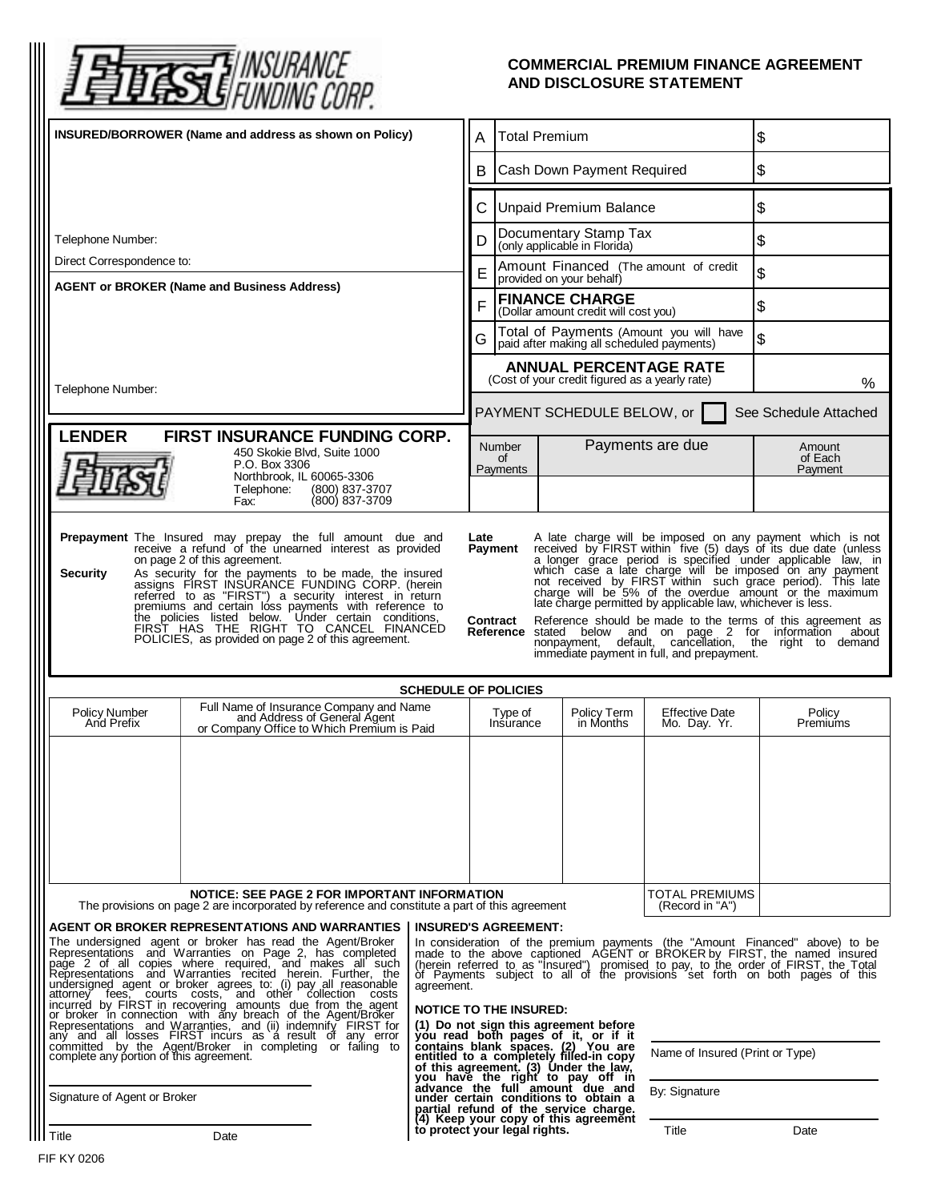

## **COMMERCIAL PREMIUM FINANCE AGREEMENT AND DISCLOSURE STATEMENT**

| INSURED/BORROWER (Name and address as shown on Policy)                                                                                                                                                                                                                                                                                                                                                                                                                                                                                                                                                                                                                                                                                                                                                                                                                                                                                                                                                                                                                                                                                                                                                    |                                                                                                                       | <b>Total Premium</b><br>Α                                                                                                                                |                                                                                                                                                                                                                                                                                                                                                                                                                                                                                                                                                                                                                                                                                                             |                                                                                      | \$                                    |                                   |                              |
|-----------------------------------------------------------------------------------------------------------------------------------------------------------------------------------------------------------------------------------------------------------------------------------------------------------------------------------------------------------------------------------------------------------------------------------------------------------------------------------------------------------------------------------------------------------------------------------------------------------------------------------------------------------------------------------------------------------------------------------------------------------------------------------------------------------------------------------------------------------------------------------------------------------------------------------------------------------------------------------------------------------------------------------------------------------------------------------------------------------------------------------------------------------------------------------------------------------|-----------------------------------------------------------------------------------------------------------------------|----------------------------------------------------------------------------------------------------------------------------------------------------------|-------------------------------------------------------------------------------------------------------------------------------------------------------------------------------------------------------------------------------------------------------------------------------------------------------------------------------------------------------------------------------------------------------------------------------------------------------------------------------------------------------------------------------------------------------------------------------------------------------------------------------------------------------------------------------------------------------------|--------------------------------------------------------------------------------------|---------------------------------------|-----------------------------------|------------------------------|
|                                                                                                                                                                                                                                                                                                                                                                                                                                                                                                                                                                                                                                                                                                                                                                                                                                                                                                                                                                                                                                                                                                                                                                                                           |                                                                                                                       |                                                                                                                                                          | Cash Down Payment Required<br>В                                                                                                                                                                                                                                                                                                                                                                                                                                                                                                                                                                                                                                                                             |                                                                                      |                                       | \$                                |                              |
|                                                                                                                                                                                                                                                                                                                                                                                                                                                                                                                                                                                                                                                                                                                                                                                                                                                                                                                                                                                                                                                                                                                                                                                                           |                                                                                                                       |                                                                                                                                                          | <b>Unpaid Premium Balance</b><br>С                                                                                                                                                                                                                                                                                                                                                                                                                                                                                                                                                                                                                                                                          |                                                                                      |                                       | \$                                |                              |
| Telephone Number:                                                                                                                                                                                                                                                                                                                                                                                                                                                                                                                                                                                                                                                                                                                                                                                                                                                                                                                                                                                                                                                                                                                                                                                         |                                                                                                                       |                                                                                                                                                          | D                                                                                                                                                                                                                                                                                                                                                                                                                                                                                                                                                                                                                                                                                                           | Documentary Stamp Tax<br>(only applicable in Florida)                                |                                       |                                   | \$                           |
| Direct Correspondence to:                                                                                                                                                                                                                                                                                                                                                                                                                                                                                                                                                                                                                                                                                                                                                                                                                                                                                                                                                                                                                                                                                                                                                                                 |                                                                                                                       |                                                                                                                                                          | E                                                                                                                                                                                                                                                                                                                                                                                                                                                                                                                                                                                                                                                                                                           | Amount Financed (The amount of credit<br>provided on your behalf)                    |                                       |                                   | \$                           |
| <b>AGENT or BROKER (Name and Business Address)</b>                                                                                                                                                                                                                                                                                                                                                                                                                                                                                                                                                                                                                                                                                                                                                                                                                                                                                                                                                                                                                                                                                                                                                        |                                                                                                                       |                                                                                                                                                          | F                                                                                                                                                                                                                                                                                                                                                                                                                                                                                                                                                                                                                                                                                                           | <b>FINANCE CHARGE</b><br>(Dollar amount credit will cost you)                        |                                       |                                   | \$                           |
|                                                                                                                                                                                                                                                                                                                                                                                                                                                                                                                                                                                                                                                                                                                                                                                                                                                                                                                                                                                                                                                                                                                                                                                                           |                                                                                                                       |                                                                                                                                                          | G                                                                                                                                                                                                                                                                                                                                                                                                                                                                                                                                                                                                                                                                                                           | Total of Payments (Amount you will have<br>paid after making all scheduled payments) |                                       |                                   | \$                           |
|                                                                                                                                                                                                                                                                                                                                                                                                                                                                                                                                                                                                                                                                                                                                                                                                                                                                                                                                                                                                                                                                                                                                                                                                           |                                                                                                                       |                                                                                                                                                          |                                                                                                                                                                                                                                                                                                                                                                                                                                                                                                                                                                                                                                                                                                             | <b>ANNUAL PERCENTAGE RATE</b><br>(Cost of your credit figured as a yearly rate)      |                                       |                                   | %                            |
| Telephone Number:                                                                                                                                                                                                                                                                                                                                                                                                                                                                                                                                                                                                                                                                                                                                                                                                                                                                                                                                                                                                                                                                                                                                                                                         |                                                                                                                       |                                                                                                                                                          | PAYMENT SCHEDULE BELOW, or<br>See Schedule Attached                                                                                                                                                                                                                                                                                                                                                                                                                                                                                                                                                                                                                                                         |                                                                                      |                                       |                                   |                              |
| <b>LENDER</b><br><b>FIRST INSURANCE FUNDING CORP.</b><br>450 Skokie Blvd, Suite 1000<br>P.O. Box 3306                                                                                                                                                                                                                                                                                                                                                                                                                                                                                                                                                                                                                                                                                                                                                                                                                                                                                                                                                                                                                                                                                                     |                                                                                                                       |                                                                                                                                                          |                                                                                                                                                                                                                                                                                                                                                                                                                                                                                                                                                                                                                                                                                                             | <b>Number</b><br>οf<br>Payments                                                      |                                       | Payments are due                  | Amount<br>of Each<br>Payment |
|                                                                                                                                                                                                                                                                                                                                                                                                                                                                                                                                                                                                                                                                                                                                                                                                                                                                                                                                                                                                                                                                                                                                                                                                           | Northbrook, IL 60065-3306<br>Telephone:<br>(800) 837-3707<br>(800) 837-3709<br>Fax:                                   |                                                                                                                                                          |                                                                                                                                                                                                                                                                                                                                                                                                                                                                                                                                                                                                                                                                                                             |                                                                                      |                                       |                                   |                              |
| Prepayment The Insured may prepay the full amount due and<br>receive a refund of the unearned interest as provided<br>received by FIRST within five (5) days of its due date (unless<br>Payment<br>on page 2 of this agreement.<br>a longer grace period is specified under applicable law, in which case a late charge will be imposed on any payment<br><b>Security</b><br>As security for the payments to be made, the insured assigns FIRST INSURANCE FUNDING CORP. (herein<br>not received by FIRST within such grace period). This late<br>charge will be 5% of the overdue amount or the maximum<br>referred to as "FIRST") a security interest in return<br>premiums and certain loss payments with reference to<br>late charge permitted by applicable law, whichever is less.<br>the policies listed below. Under certain conditions,<br>FIRST HAS THE RIGHT TO CANCEL FINANCED<br>Contract<br>Reference should be made to the terms of this agreement as<br><b>Reference</b> stated below and on page 2 for information<br>about<br>POLICIES, as provided on page 2 of this agreement.<br>nonpayment, default, cancellation, the right to demand<br>immediate payment in full, and prepayment. |                                                                                                                       |                                                                                                                                                          |                                                                                                                                                                                                                                                                                                                                                                                                                                                                                                                                                                                                                                                                                                             |                                                                                      |                                       |                                   |                              |
| <b>SCHEDULE OF POLICIES</b>                                                                                                                                                                                                                                                                                                                                                                                                                                                                                                                                                                                                                                                                                                                                                                                                                                                                                                                                                                                                                                                                                                                                                                               |                                                                                                                       |                                                                                                                                                          |                                                                                                                                                                                                                                                                                                                                                                                                                                                                                                                                                                                                                                                                                                             |                                                                                      |                                       |                                   |                              |
| <b>Policy Number</b><br>And Prefix                                                                                                                                                                                                                                                                                                                                                                                                                                                                                                                                                                                                                                                                                                                                                                                                                                                                                                                                                                                                                                                                                                                                                                        | Full Name of Insurance Company and Name<br>and Address of General Agent<br>or Company Office to Which Premium is Paid |                                                                                                                                                          | Type of<br>Policy Term<br>Insurance<br>in Months                                                                                                                                                                                                                                                                                                                                                                                                                                                                                                                                                                                                                                                            |                                                                                      | <b>Effective Date</b><br>Mo. Day. Yr. | Policy<br>Premiums                |                              |
|                                                                                                                                                                                                                                                                                                                                                                                                                                                                                                                                                                                                                                                                                                                                                                                                                                                                                                                                                                                                                                                                                                                                                                                                           |                                                                                                                       |                                                                                                                                                          |                                                                                                                                                                                                                                                                                                                                                                                                                                                                                                                                                                                                                                                                                                             |                                                                                      |                                       |                                   |                              |
| NOTICE: SEE PAGE 2 FOR IMPORTANT INFORMATION<br>The provisions on page 2 are incorporated by reference and constitute a part of this agreement                                                                                                                                                                                                                                                                                                                                                                                                                                                                                                                                                                                                                                                                                                                                                                                                                                                                                                                                                                                                                                                            |                                                                                                                       |                                                                                                                                                          |                                                                                                                                                                                                                                                                                                                                                                                                                                                                                                                                                                                                                                                                                                             |                                                                                      |                                       | TOTAL PREMIUMS<br>(Record in "A") |                              |
| AGENT OR BROKER REPRESENTATIONS AND WARRANTIES<br>The undersigned agent or broker has read the Agent/Broker<br>Representations and Warranties on Page 2, has completed<br>page 2 of all copies where required, and makes all such<br>Representations and Warranties recited herein. Further, the<br>undersigned agent or broker agrees to: (i) pay all reasonable<br>attorney fees, courts costs, and other collection costs<br>incurred by FIRST in recovering amounts due from the agent<br>or broker in connection, with any breach of the Agent/Broker<br>Representations and Warranties, and (ii) indemnify FIRST for<br>any and all losses FIRST incurs as a result of any error<br>committed by the Agent/Broker in completing or failing to complete any portion of this agreement.                                                                                                                                                                                                                                                                                                                                                                                                               |                                                                                                                       |                                                                                                                                                          | <b>INSURED'S AGREEMENT:</b><br>In consideration of the premium payments (the "Amount Financed" above) to be<br>made to the above captioned AGENT or BROKER by FIRST, the named insured<br>(herein referred to as "Insured") promised to pay, to the order of FIRST, the Total of Payments subject to all of the provisions set forth on both pages of this<br>agreement.<br><b>NOTICE TO THE INSURED:</b><br>(1) Do not sign this agreement before<br>you read both pages of it, or if it<br>contains blank spaces. (2) You are<br>entitled to a completely filled-in copy<br>Name of Insured (Print or Type)<br>of this agreement. (3) Under the law,<br>you have the right to pay off in<br>By: Signature |                                                                                      |                                       |                                   |                              |
| Signature of Agent or Broker                                                                                                                                                                                                                                                                                                                                                                                                                                                                                                                                                                                                                                                                                                                                                                                                                                                                                                                                                                                                                                                                                                                                                                              |                                                                                                                       | advance the full amount due and<br>under certain conditions to obtain a<br>partial refund of the service charge.<br>(4) Keep your copy of this agreement |                                                                                                                                                                                                                                                                                                                                                                                                                                                                                                                                                                                                                                                                                                             |                                                                                      |                                       |                                   |                              |
| Title                                                                                                                                                                                                                                                                                                                                                                                                                                                                                                                                                                                                                                                                                                                                                                                                                                                                                                                                                                                                                                                                                                                                                                                                     | Date                                                                                                                  |                                                                                                                                                          |                                                                                                                                                                                                                                                                                                                                                                                                                                                                                                                                                                                                                                                                                                             | to protect your legal rights.                                                        |                                       | Title                             | Date                         |